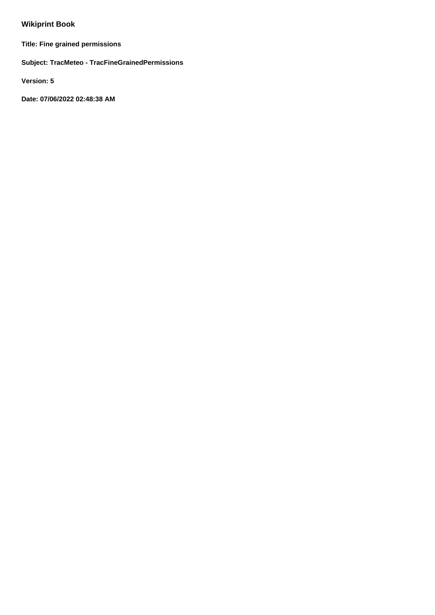# **Wikiprint Book**

**Title: Fine grained permissions**

**Subject: TracMeteo - TracFineGrainedPermissions**

**Version: 5**

**Date: 07/06/2022 02:48:38 AM**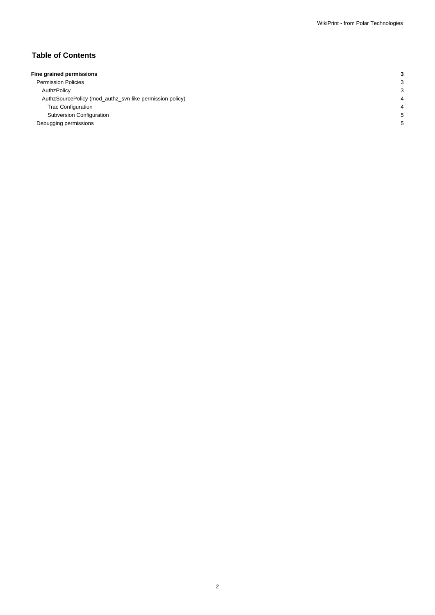# **Table of Contents**

| Fine grained permissions                                 |  |
|----------------------------------------------------------|--|
|                                                          |  |
| <b>Permission Policies</b>                               |  |
| AuthzPolicy                                              |  |
| AuthzSourcePolicy (mod_authz_svn-like permission policy) |  |
| <b>Trac Configuration</b>                                |  |
| Subversion Configuration                                 |  |
| Debugging permissions                                    |  |
|                                                          |  |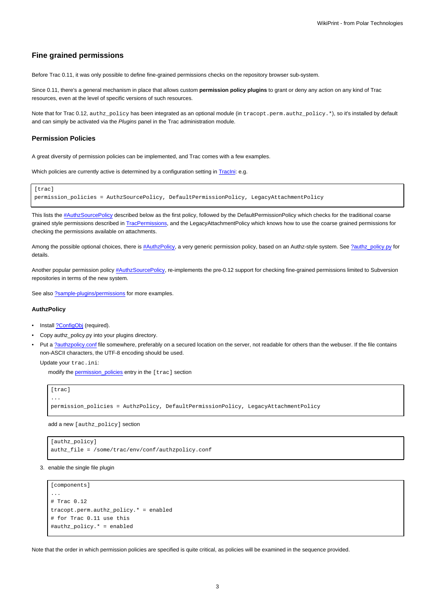# **Fine grained permissions**

Before Trac 0.11, it was only possible to define fine-grained permissions checks on the repository browser sub-system.

Since 0.11, there's a general mechanism in place that allows custom **permission policy plugins** to grant or deny any action on any kind of Trac resources, even at the level of specific versions of such resources.

Note that for Trac 0.12, authz\_policy has been integrated as an optional module (in tracopt.perm.authz\_policy.\*), so it's installed by default and can simply be activated via the Plugins panel in the Trac administration module.

### **Permission Policies**

A great diversity of permission policies can be implemented, and Trac comes with a few examples.

Which policies are currently active is determined by a configuration setting in Traclni: e.g.

```
[trac]
permission_policies = AuthzSourcePolicy, DefaultPermissionPolicy, LegacyAttachmentPolicy
```
This lists the [#AuthzSourcePolicy](https://meteo.unican.es/trac/wiki/TracFineGrainedPermissions#AuthzSourcePolicy) described below as the first policy, followed by the DefaultPermissionPolicy which checks for the traditional coarse grained style permissions described in [TracPermissions,](https://meteo.unican.es/trac/wiki/TracPermissions) and the LegacyAttachmentPolicy which knows how to use the coarse grained permissions for checking the permissions available on attachments.

Among the possible optional choices, there is [#AuthzPolicy](https://meteo.unican.es/trac/wiki/TracFineGrainedPermissions#AuthzPolicy), a very generic permission policy, based on an Authz-style system. See [?authz\\_policy.py](http://trac.edgewall.org/intertrac/source%3Abranches/0.12-stable/tracopt/perm/authz_policy.py) for details.

Another popular permission policy [#AuthzSourcePolicy,](https://meteo.unican.es/trac/wiki/TracFineGrainedPermissions#AuthzSourcePolicy) re-implements the pre-0.12 support for checking fine-grained permissions limited to Subversion repositories in terms of the new system.

See also [?sample-plugins/permissions](http://trac.edgewall.org/intertrac/source%3Abranches/0.12-stable/sample-plugins/permissions) for more examples.

# **AuthzPolicy**

- Install [?ConfigObj](http://www.voidspace.org.uk/python/configobj.html) (required).
- Copy authz\_policy.py into your plugins directory.
- Put a [?authzpolicy.conf](http://swapoff.org/files/authzpolicy.conf) file somewhere, preferably on a secured location on the server, not readable for others than the webuser. If the file contains non-ASCII characters, the UTF-8 encoding should be used.

Update your trac.ini:

modify the [permission\\_policies](https://meteo.unican.es/trac/wiki/TracIni#trac-section) entry in the [trac] section

```
[trac]
...
permission_policies = AuthzPolicy, DefaultPermissionPolicy, LegacyAttachmentPolicy
```
add a new [authz\_policy] section

```
[authz_policy]
authz_file = /some/trac/env/conf/authzpolicy.conf
```
3. enable the single file plugin

```
[components]
...
# Trac 0.12
tracopt.perm.authz_policy.* = enabled
# for Trac 0.11 use this
#authz_policy.* = enabled
```
Note that the order in which permission policies are specified is quite critical, as policies will be examined in the sequence provided.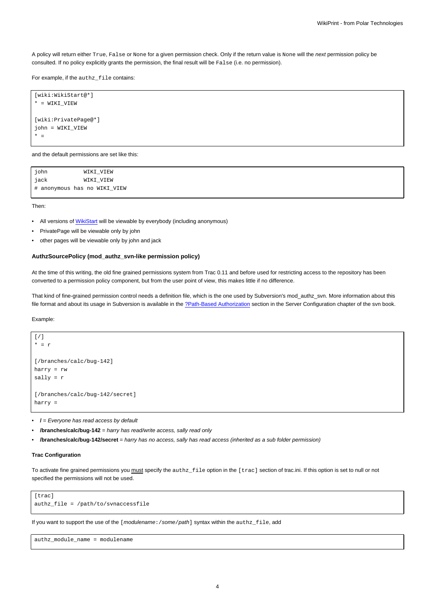A policy will return either True, False or None for a given permission check. Only if the return value is None will the next permission policy be consulted. If no policy explicitly grants the permission, the final result will be False (i.e. no permission).

For example, if the authz\_file contains:

```
[wiki:WikiStart@*]
* = WIKI_VIEW
[wiki:PrivatePage@*]
john = WIKI_VIEW
* =
```
and the default permissions are set like this:

| john | WIKI_VIEW                    |
|------|------------------------------|
| jack | WIKI_VIEW                    |
|      | # anonymous has no WIKI VIEW |

Then:

- All versions of [WikiStart](https://meteo.unican.es/trac/wiki/WikiStart) will be viewable by everybody (including anonymous)
- PrivatePage will be viewable only by john
- other pages will be viewable only by john and jack

#### **AuthzSourcePolicy (mod\_authz\_svn-like permission policy)**

At the time of this writing, the old fine grained permissions system from Trac 0.11 and before used for restricting access to the repository has been converted to a permission policy component, but from the user point of view, this makes little if no difference.

That kind of fine-grained permission control needs a definition file, which is the one used by Subversion's mod\_authz\_svn. More information about this file format and about its usage in Subversion is available in the [?Path-Based Authorization](http://svnbook.red-bean.com/en/1.5/svn.serverconfig.pathbasedauthz.html) section in the Server Configuration chapter of the svn book.

Example:

```
[/]* = r
[/branches/calc/bug-142]
harry = rw
sally = r
[/branches/calc/bug-142/secret]
harry =
```
• **/** = Everyone has read access by default

• **/branches/calc/bug-142** = harry has read/write access, sally read only

• **/branches/calc/bug-142/secret** = harry has no access, sally has read access (inherited as a sub folder permission)

### **Trac Configuration**

To activate fine grained permissions you must specify the authz\_file option in the [trac] section of trac.ini. If this option is set to null or not specified the permissions will not be used.

```
[trac]
authz_file = /path/to/svnaccessfile
```
If you want to support the use of the [modulename: /some/path] syntax within the authz\_file, add

authz\_module\_name = modulename